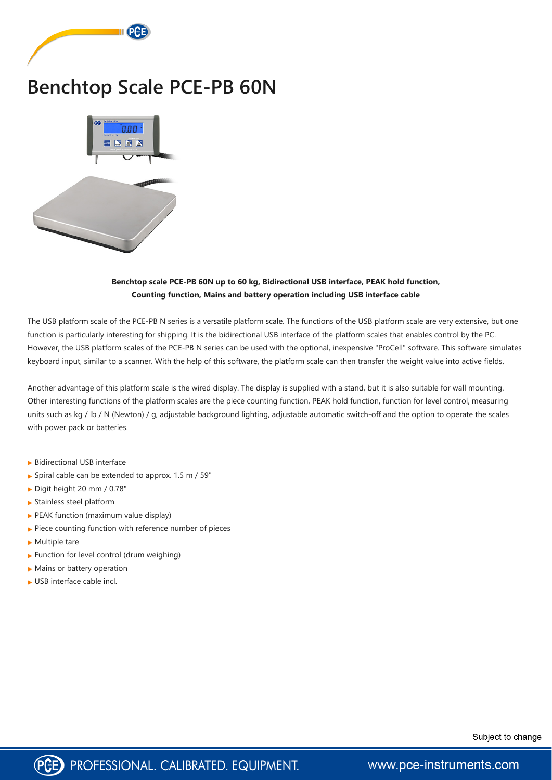

## **Benchtop Scale PCE-PB 60N**



**Benchtop scale PCE-PB 60N up to 60 kg, Bidirectional USB interface, PEAK hold function, Counting function, Mains and battery operation including USB interface cable**

The USB platform scale of the PCE-PB N series is a versatile platform scale. The functions of the USB platform scale are very extensive, but one function is particularly interesting for shipping. It is the bidirectional USB interface of the platform scales that enables control by the PC. However, the USB platform scales of the PCE-PB N series can be used with the optional, inexpensive "ProCell" software. This software simulates keyboard input, similar to a scanner. With the help of this software, the platform scale can then transfer the weight value into active fields.

Another advantage of this platform scale is the wired display. The display is supplied with a stand, but it is also suitable for wall mounting. Other interesting functions of the platform scales are the piece counting function, PEAK hold function, function for level control, measuring units such as kg / lb / N (Newton) / g, adjustable background lighting, adjustable automatic switch-off and the option to operate the scales with power pack or batteries.

- **Bidirectional USB interface**
- ▶ Spiral cable can be extended to approx. 1.5 m / 59"
- Digit height 20 mm / 0.78"
- Stainless steel platform
- **PEAK function (maximum value display)**
- $\blacktriangleright$  Piece counting function with reference number of pieces
- **Multiple tare**
- **Function for level control (drum weighing)**
- Mains or battery operation
- USB interface cable incl.





www.pce-instruments.com